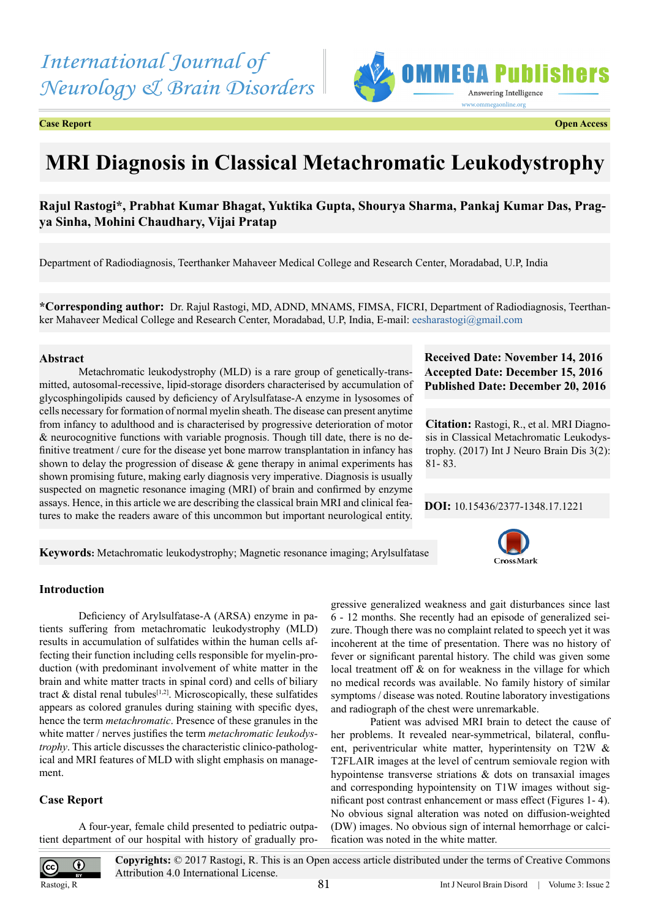*International Journal of Neurology & Brain Disorders*



**Case Report Open Access**

# **MRI Diagnosis in Classical Metachromatic Leukodystrophy**

# **Rajul Rastogi\*, Prabhat Kumar Bhagat, Yuktika Gupta, Shourya Sharma, Pankaj Kumar Das, Pragya Sinha, Mohini Chaudhary, Vijai Pratap**

Department of Radiodiagnosis, Teerthanker Mahaveer Medical College and Research Center, Moradabad, U.P, India

**\*Corresponding author:** Dr. Rajul Rastogi, MD, ADND, MNAMS, FIMSA, FICRI, Department of Radiodiagnosis, Teerthanker Mahaveer Medical College and Research Center, Moradabad, U.P, India, E-mail: [eesharastogi@gmail.com](mailto:eesharastogi@gmail.com)

## **Abstract**

Metachromatic leukodystrophy (MLD) is a rare group of genetically-transmitted, autosomal-recessive, lipid-storage disorders characterised by accumulation of glycosphingolipids caused by deficiency of Arylsulfatase-A enzyme in lysosomes of cells necessary for formation of normal myelin sheath. The disease can present anytime from infancy to adulthood and is characterised by progressive deterioration of motor & neurocognitive functions with variable prognosis. Though till date, there is no definitive treatment / cure for the disease yet bone marrow transplantation in infancy has shown to delay the progression of disease  $\&$  gene therapy in animal experiments has shown promising future, making early diagnosis very imperative. Diagnosis is usually suspected on magnetic resonance imaging (MRI) of brain and confirmed by enzyme assays. Hence, in this article we are describing the classical brain MRI and clinical features to make the readers aware of this uncommon but important neurological entity.

## **Received Date: November 14, 2016 Accepted Date: December 15, 2016 Published Date: December 20, 2016**

**Citation:** Rastogi, R., et al. MRI Diagnosis in Classical Metachromatic Leukodystrophy. (2017) Int J Neuro Brain Dis 3(2): 81- 83.

## **DOI:** [10.15436/2377-1348.17.1](http://www.dx.doi.org/10.15436/2377-1348.17.1221
)221

CrossMark

**Keywords:** Metachromatic leukodystrophy; Magnetic resonance imaging; Arylsulfatase

## **Introduction**

Deficiency of Arylsulfatase-A (ARSA) enzyme in patients suffering from metachromatic leukodystrophy (MLD) results in accumulation of sulfatides within the human cells affecting their function including cells responsible for myelin-production (with predominant involvement of white matter in the brain and white matter tracts in spinal cord) and cells of biliary tract  $\&$  distal renal tubules<sup>[1,2]</sup>. Microscopically, these sulfatides appears as colored granules during staining with specific dyes, hence the term *metachromatic*. Presence of these granules in the white matter / nerves justifies the term *metachromatic leukodystrophy*. This article discusses the characteristic clinico-pathological and MRI features of MLD with slight emphasis on management.

## **Case Report**

 $\bf G$ 

A four-year, female child presented to pediatric outpatient department of our hospital with history of gradually progressive generalized weakness and gait disturbances since last 6 - 12 months. She recently had an episode of generalized seizure. Though there was no complaint related to speech yet it was incoherent at the time of presentation. There was no history of fever or significant parental history. The child was given some local treatment off & on for weakness in the village for which no medical records was available. No family history of similar symptoms / disease was noted. Routine laboratory investigations and radiograph of the chest were unremarkable.

Patient was advised MRI brain to detect the cause of her problems. It revealed near-symmetrical, bilateral, confluent, periventricular white matter, hyperintensity on T2W & T2FLAIR images at the level of centrum semiovale region with hypointense transverse striations & dots on transaxial images and corresponding hypointensity on T1W images without significant post contrast enhancement or mass effect (Figures 1- 4). No obvious signal alteration was noted on diffusion-weighted (DW) images. No obvious sign of internal hemorrhage or calcification was noted in the white matter.

Rastogi, R

 $\overline{cc}$ 

**Copyrights:** © 2017 Rastogi, R. This is an Open access article distributed under the terms of Creative Commons Attribution 4.0 International License.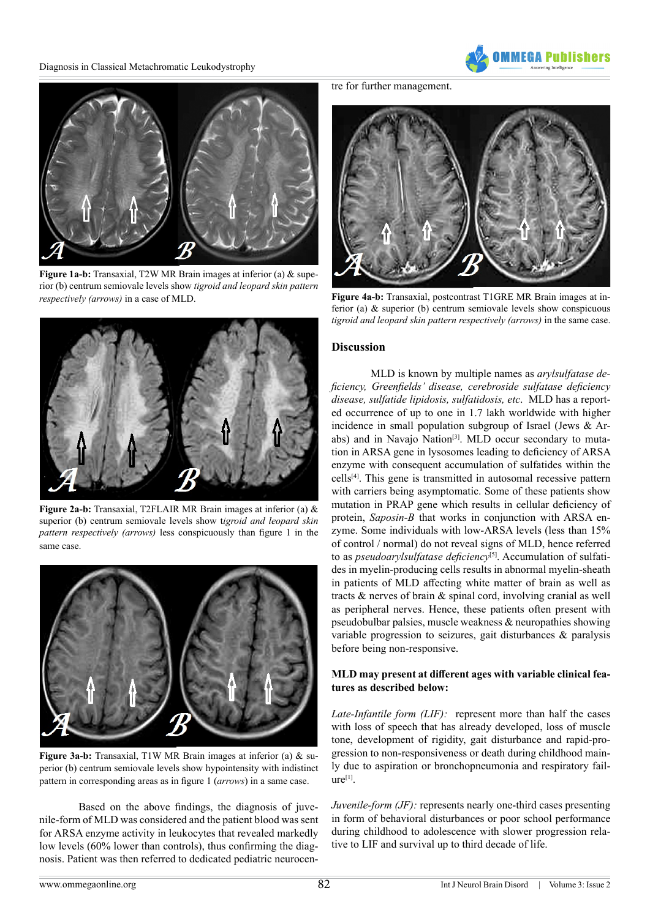Diagnosis in Classical Metachromatic Leukodystrophy





**Figure 1a-b:** Transaxial, T2W MR Brain images at inferior (a) & superior (b) centrum semiovale levels show *tigroid and leopard skin pattern respectively (arrows)* in a case of MLD.



**Figure 2a-b:** Transaxial, T2FLAIR MR Brain images at inferior (a) & superior (b) centrum semiovale levels show t*igroid and leopard skin pattern respectively (arrows)* less conspicuously than figure 1 in the same case.



**Figure 3a-b:** Transaxial, T1W MR Brain images at inferior (a) & superior (b) centrum semiovale levels show hypointensity with indistinct pattern in corresponding areas as in figure 1 (*arrows*) in a same case.

Based on the above findings, the diagnosis of juvenile-form of MLD was considered and the patient blood was sent for ARSA enzyme activity in leukocytes that revealed markedly low levels (60% lower than controls), thus confirming the diagnosis. Patient was then referred to dedicated pediatric neurocen-

tre for further management.



**Figure 4a-b:** Transaxial, postcontrast T1GRE MR Brain images at inferior (a) & superior (b) centrum semiovale levels show conspicuous *tigroid and leopard skin pattern respectively (arrows)* in the same case.

#### **Discussion**

MLD is known by multiple names as *arylsulfatase deficiency, Greenfields' disease, cerebroside sulfatase deficiency disease, sulfatide lipidosis, sulfatidosis, etc*. MLD has a reported occurrence of up to one in 1.7 lakh worldwide with higher incidence in small population subgroup of Israel (Jews & Arabs) and in Navajo Nation<sup>[3]</sup>. MLD occur secondary to mutation in ARSA gene in lysosomes leading to deficiency of ARSA enzyme with consequent accumulation of sulfatides within the cells[\[4\]](#page-2-2). This gene is transmitted in autosomal recessive pattern with carriers being asymptomatic. Some of these patients show mutation in PRAP gene which results in cellular deficiency of protein, *Saposin-B* that works in conjunction with ARSA enzyme. Some individuals with low-ARSA levels (less than 15% of control / normal) do not reveal signs of MLD, hence referred to as *pseudoarylsulfatase deficiency*<sup>[\[5\]](#page-2-3)</sup>. Accumulation of sulfatides in myelin-producing cells results in abnormal myelin-sheath in patients of MLD affecting white matter of brain as well as tracts & nerves of brain & spinal cord, involving cranial as well as peripheral nerves. Hence, these patients often present with pseudobulbar palsies, muscle weakness & neuropathies showing variable progression to seizures, gait disturbances & paralysis before being non-responsive.

## **MLD may present at different ages with variable clinical features as described below:**

*Late-Infantile form (LIF):* represent more than half the cases with loss of speech that has already developed, loss of muscle tone, development of rigidity, gait disturbance and rapid-progression to non-responsiveness or death during childhood mainly due to aspiration or bronchopneumonia and respiratory fail $ure<sup>[1]</sup>$ .

*Juvenile-form (JF):* represents nearly one-third cases presenting in form of behavioral disturbances or poor school performance during childhood to adolescence with slower progression relative to LIF and survival up to third decade of life.